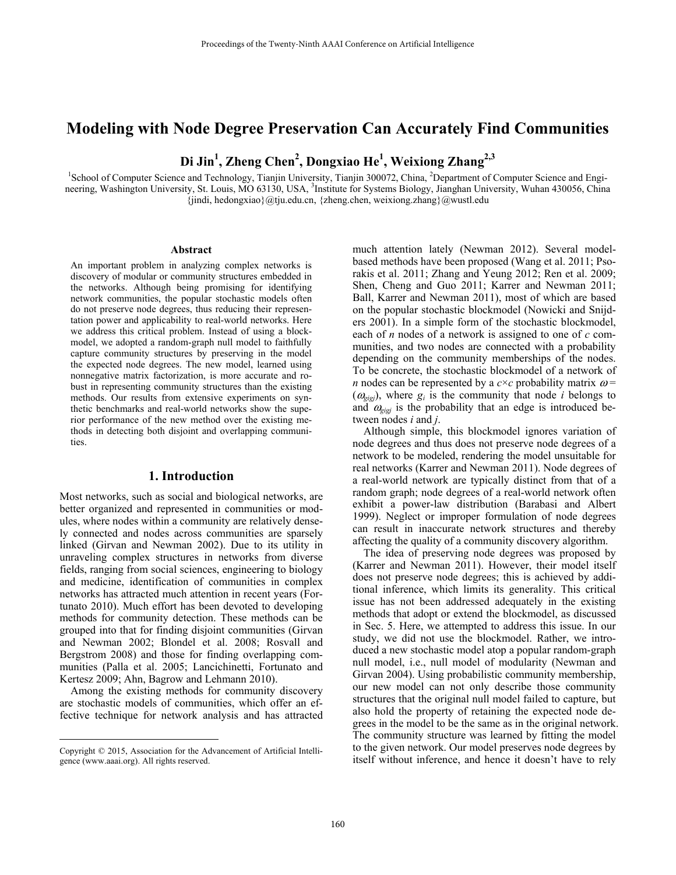# **Modeling with Node Degree Preservation Can Accurately Find Communities**

**Di Jin1 , Zheng Chen2 , Dongxiao He<sup>1</sup> , Weixiong Zhang2,3**

<sup>1</sup>School of Computer Science and Technology, Tianjin University, Tianjin 300072, China, <sup>2</sup>Department of Computer Science and Engineering, Washington University, St. Louis, MO 63130, USA, <sup>3</sup>Institute for Systems Biology, Jianghan University, Wuhan 430056, China  $\{$ indi, hedongxiao}@tju.edu.cn,  $\{$ zheng.chen, weixiong.zhang}@wustl.edu

#### **Abstract**

An important problem in analyzing complex networks is discovery of modular or community structures embedded in the networks. Although being promising for identifying network communities, the popular stochastic models often do not preserve node degrees, thus reducing their representation power and applicability to real-world networks. Here we address this critical problem. Instead of using a blockmodel, we adopted a random-graph null model to faithfully capture community structures by preserving in the model the expected node degrees. The new model, learned using nonnegative matrix factorization, is more accurate and robust in representing community structures than the existing methods. Our results from extensive experiments on synthetic benchmarks and real-world networks show the superior performance of the new method over the existing methods in detecting both disjoint and overlapping communities.

# **1. Introduction**

Most networks, such as social and biological networks, are better organized and represented in communities or modules, where nodes within a community are relatively densely connected and nodes across communities are sparsely linked (Girvan and Newman 2002). Due to its utility in unraveling complex structures in networks from diverse fields, ranging from social sciences, engineering to biology and medicine, identification of communities in complex networks has attracted much attention in recent years (Fortunato 2010). Much effort has been devoted to developing methods for community detection. These methods can be grouped into that for finding disjoint communities (Girvan and Newman 2002; Blondel et al. 2008; Rosvall and Bergstrom 2008) and those for finding overlapping communities (Palla et al. 2005; Lancichinetti, Fortunato and Kertesz 2009; Ahn, Bagrow and Lehmann 2010).

Among the existing methods for community discovery are stochastic models of communities, which offer an effective technique for network analysis and has attracted

 $\overline{a}$ 

much attention lately (Newman 2012). Several modelbased methods have been proposed (Wang et al. 2011; Psorakis et al. 2011; Zhang and Yeung 2012; Ren et al. 2009; Shen, Cheng and Guo 2011; Karrer and Newman 2011; Ball, Karrer and Newman 2011), most of which are based on the popular stochastic blockmodel (Nowicki and Snijders 2001). In a simple form of the stochastic blockmodel, each of *n* nodes of a network is assigned to one of *c* communities, and two nodes are connected with a probability depending on the community memberships of the nodes. To be concrete, the stochastic blockmodel of a network of *n* nodes can be represented by a  $c \times c$  probability matrix  $\omega$  =  $(\omega_{\text{gig}})$ , where  $g_i$  is the community that node *i* belongs to and  $\omega_{\text{eigi}}$  is the probability that an edge is introduced between nodes *i* and *j*.

Although simple, this blockmodel ignores variation of node degrees and thus does not preserve node degrees of a network to be modeled, rendering the model unsuitable for real networks (Karrer and Newman 2011). Node degrees of a real-world network are typically distinct from that of a random graph; node degrees of a real-world network often exhibit a power-law distribution (Barabasi and Albert 1999). Neglect or improper formulation of node degrees can result in inaccurate network structures and thereby affecting the quality of a community discovery algorithm.

The idea of preserving node degrees was proposed by (Karrer and Newman 2011). However, their model itself does not preserve node degrees; this is achieved by additional inference, which limits its generality. This critical issue has not been addressed adequately in the existing methods that adopt or extend the blockmodel, as discussed in Sec. 5. Here, we attempted to address this issue. In our study, we did not use the blockmodel. Rather, we introduced a new stochastic model atop a popular random-graph null model, i.e., null model of modularity (Newman and Girvan 2004). Using probabilistic community membership, our new model can not only describe those community structures that the original null model failed to capture, but also hold the property of retaining the expected node degrees in the model to be the same as in the original network. The community structure was learned by fitting the model to the given network. Our model preserves node degrees by itself without inference, and hence it doesn't have to rely

Copyright © 2015, Association for the Advancement of Artificial Intelligence (www.aaai.org). All rights reserved.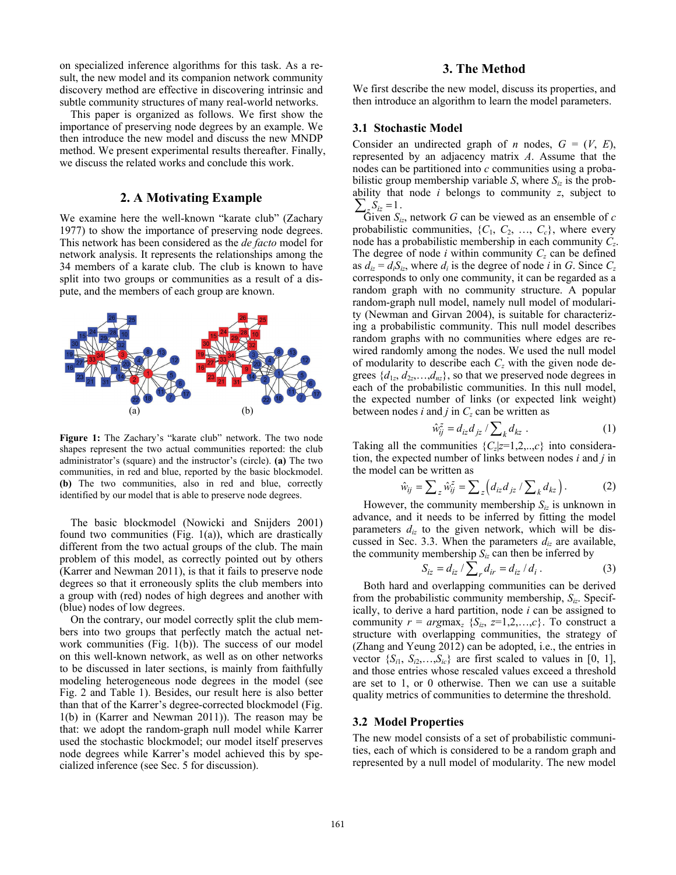on specialized inference algorithms for this task. As a result, the new model and its companion network community discovery method are effective in discovering intrinsic and subtle community structures of many real-world networks.

This paper is organized as follows. We first show the importance of preserving node degrees by an example. We then introduce the new model and discuss the new MNDP method. We present experimental results thereafter. Finally, we discuss the related works and conclude this work.

# **2. A Motivating Example**

We examine here the well-known "karate club" (Zachary 1977) to show the importance of preserving node degrees. This network has been considered as the *de facto* model for network analysis. It represents the relationships among the 34 members of a karate club. The club is known to have split into two groups or communities as a result of a dispute, and the members of each group are known.



**Figure 1:** The Zachary's "karate club" network. The two node shapes represent the two actual communities reported: the club administrator's (square) and the instructor's (circle). **(a)** The two communities, in red and blue, reported by the basic blockmodel. **(b)** The two communities, also in red and blue, correctly identified by our model that is able to preserve node degrees.

The basic blockmodel (Nowicki and Snijders 2001) found two communities (Fig.  $1(a)$ ), which are drastically different from the two actual groups of the club. The main problem of this model, as correctly pointed out by others (Karrer and Newman 2011), is that it fails to preserve node degrees so that it erroneously splits the club members into a group with (red) nodes of high degrees and another with (blue) nodes of low degrees.

On the contrary, our model correctly split the club members into two groups that perfectly match the actual network communities (Fig. 1(b)). The success of our model on this well-known network, as well as on other networks to be discussed in later sections, is mainly from faithfully modeling heterogeneous node degrees in the model (see Fig. 2 and Table 1). Besides, our result here is also better than that of the Karrer's degree-corrected blockmodel (Fig. 1(b) in (Karrer and Newman 2011)). The reason may be that: we adopt the random-graph null model while Karrer used the stochastic blockmodel; our model itself preserves node degrees while Karrer's model achieved this by specialized inference (see Sec. 5 for discussion).

# **3. The Method**

We first describe the new model, discuss its properties, and then introduce an algorithm to learn the model parameters.

# **3.1 Stochastic Model**

Consider an undirected graph of *n* nodes,  $G = (V, E)$ , represented by an adjacency matrix *A*. Assume that the nodes can be partitioned into *c* communities using a probabilistic group membership variable *S*, where  $S_{iz}$  is the probability that node *i* belongs to community *z*, subject to  $\sum_z S_{iz} = 1$ .

Given  $S_{iz}$ , network *G* can be viewed as an ensemble of *c* probabilistic communities,  $\{C_1, C_2, \ldots, C_c\}$ , where every node has a probabilistic membership in each community *Cz*. The degree of node  $i$  within community  $C_z$  can be defined as  $d_{iz} = d_i S_{iz}$ , where  $d_i$  is the degree of node *i* in *G*. Since  $C_z$ corresponds to only one community, it can be regarded as a random graph with no community structure. A popular random-graph null model, namely null model of modularity (Newman and Girvan 2004), is suitable for characterizing a probabilistic community. This null model describes random graphs with no communities where edges are rewired randomly among the nodes. We used the null model of modularity to describe each *Cz* with the given node degrees  $\{d_{1z}, d_{2z}, \ldots, d_{nz}\}$ , so that we preserved node degrees in each of the probabilistic communities. In this null model, the expected number of links (or expected link weight) between nodes  $i$  and  $j$  in  $C_z$  can be written as

$$
\hat{w}_{ij}^z = d_{iz} d_{jz} / \sum_k d_{kz} . \tag{1}
$$

Taking all the communities  $\{C_z|z=1,2,...,c\}$  into consideration, the expected number of links between nodes *i* and *j* in the model can be written as

$$
\hat{w}_{ij} = \sum_{z} \hat{w}_{ij}^{z} = \sum_{z} \left( d_{iz} d_{jz} / \sum_{k} d_{kz} \right). \tag{2}
$$

However, the community membership  $S_{iz}$  is unknown in advance, and it needs to be inferred by fitting the model parameters  $d_{iz}$  to the given network, which will be discussed in Sec. 3.3. When the parameters  $d_{iz}$  are available, the community membership  $S_{iz}$  can then be inferred by

$$
S_{iz} = d_{iz} / \sum_{r} d_{ir} = d_{iz} / d_i .
$$
 (3)

Both hard and overlapping communities can be derived from the probabilistic community membership, *Siz*. Specifically, to derive a hard partition, node *i* can be assigned to community  $r = argmax_z {S_{iz}, z=1,2,...,c}$ . To construct a structure with overlapping communities, the strategy of (Zhang and Yeung 2012) can be adopted, i.e., the entries in vector  $\{S_{i1}, S_{i2},...,S_{i\ell}\}\$ are first scaled to values in [0, 1], and those entries whose rescaled values exceed a threshold are set to 1, or 0 otherwise. Then we can use a suitable quality metrics of communities to determine the threshold.

#### **3.2 Model Properties**

The new model consists of a set of probabilistic communities, each of which is considered to be a random graph and represented by a null model of modularity. The new model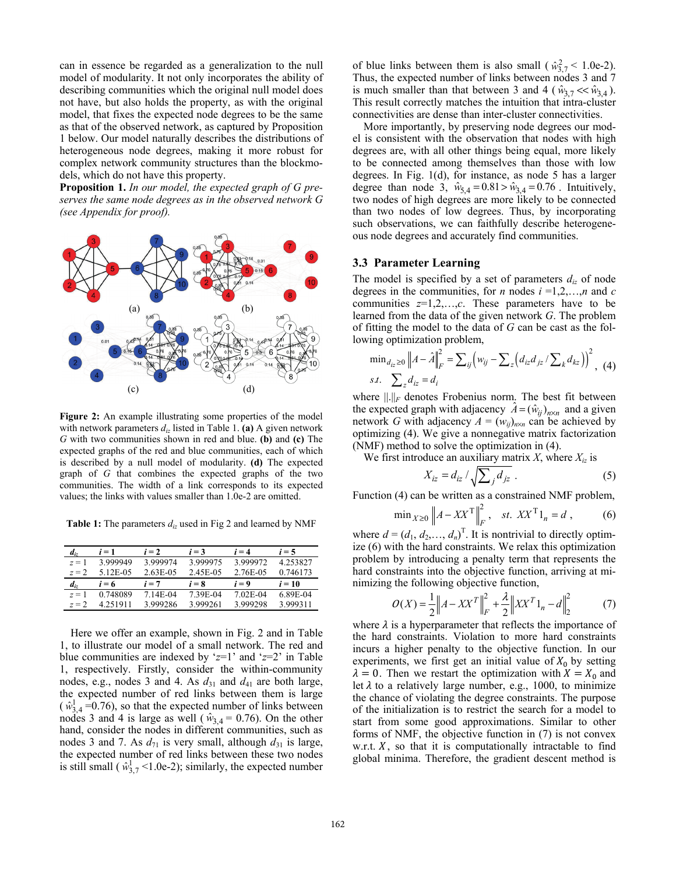can in essence be regarded as a generalization to the null model of modularity. It not only incorporates the ability of describing communities which the original null model does not have, but also holds the property, as with the original model, that fixes the expected node degrees to be the same as that of the observed network, as captured by Proposition 1 below. Our model naturally describes the distributions of heterogeneous node degrees, making it more robust for complex network community structures than the blockmodels, which do not have this property.

**Proposition 1.** *In our model, the expected graph of G preserves the same node degrees as in the observed network G (see Appendix for proof).* 



**Figure 2:** An example illustrating some properties of the model with network parameters  $d_{iz}$  listed in Table 1. **(a)** A given network *G* with two communities shown in red and blue. **(b)** and **(c)** The expected graphs of the red and blue communities, each of which is described by a null model of modularity. **(d)** The expected graph of *G* that combines the expected graphs of the two communities. The width of a link corresponds to its expected values; the links with values smaller than 1.0e-2 are omitted.

**Table 1:** The parameters *diz* used in Fig 2 and learned by NMF

| $d_{iz}$    | $i=1$    | $i = 2$  | $i = 3$  | $i = 4$  | $i = 5$  |
|-------------|----------|----------|----------|----------|----------|
| $z=1$       | 3.999949 | 3.999974 | 3.999975 | 3.999972 | 4.253827 |
| $z = 2$     | 5.12E-05 | 2.63E-05 | 2.45E-05 | 2.76E-05 | 0.746173 |
|             |          |          |          |          |          |
| $d_{i\tau}$ | $i = 6$  | $i = 7$  | $i = 8$  | $i = 9$  | $i = 10$ |
| $z=1$       | 0.748089 | 7.14E-04 | 7.39E-04 | 7.02E-04 | 6.89E-04 |

Here we offer an example, shown in Fig. 2 and in Table 1, to illustrate our model of a small network. The red and blue communities are indexed by ' $z=1$ ' and ' $z=2$ ' in Table 1, respectively. Firstly, consider the within-community nodes, e.g., nodes 3 and 4. As  $d_{31}$  and  $d_{41}$  are both large, the expected number of red links between them is large  $(w_{3,4}^1 = 0.76)$ , so that the expected number of links between nodes 3 and 4 is large as well ( $\hat{w}_{3,4} = 0.76$ ). On the other hand, consider the nodes in different communities, such as nodes 3 and 7. As  $d_{71}$  is very small, although  $d_{31}$  is large, the expected number of red links between these two nodes is still small ( $\hat{w}_{3,7}^1$  <1.0e-2); similarly, the expected number

of blue links between them is also small ( $\hat{w}_{3,7}^2$  < 1.0e-2). Thus, the expected number of links between nodes 3 and 7 is much smaller than that between 3 and 4 ( $\hat{w}_{3.7} \ll \hat{w}_{3.4}$ ). This result correctly matches the intuition that intra-cluster connectivities are dense than inter-cluster connectivities.

More importantly, by preserving node degrees our model is consistent with the observation that nodes with high degrees are, with all other things being equal, more likely to be connected among themselves than those with low degrees. In Fig. 1(d), for instance, as node 5 has a larger degree than node 3,  $\hat{w}_{5,4} = 0.81 > \hat{w}_{3,4} = 0.76$ . Intuitively, two nodes of high degrees are more likely to be connected than two nodes of low degrees. Thus, by incorporating such observations, we can faithfully describe heterogeneous node degrees and accurately find communities.

### **3.3 Parameter Learning**

The model is specified by a set of parameters  $d_{iz}$  of node degrees in the communities, for *n* nodes  $i = 1, 2, \ldots, n$  and *c* communities *z*=1,2,…,*c*. These parameters have to be learned from the data of the given network *G*. The problem of fitting the model to the data of *G* can be cast as the following optimization problem,

$$
\min_{d_{iz} \ge 0} \|A - \hat{A}\|_{F}^{2} = \sum_{ij} (w_{ij} - \sum_{z} (d_{iz} d_{jz} / \sum_{k} d_{kz}))^{2}, \quad (4)
$$
  
*s.t.*  $\sum_{z} d_{iz} = d_{i}$ 

where  $\|\cdot\|_F$  denotes Frobenius norm. The best fit between the expected graph with adjacency  $\hat{A} = (\hat{w}_{ij})_{n \times n}$  and a given network *G* with adjacency  $A = (w_{ij})_{n \times n}$  can be achieved by optimizing (4). We give a nonnegative matrix factorization (NMF) method to solve the optimization in (4).

We first introduce an auxiliary matrix  $X$ , where  $X_{iz}$  is

$$
X_{iz} = d_{iz} / \sqrt{\sum_j d_{jz}} . \tag{5}
$$

Function (4) can be written as a constrained NMF problem,

$$
\min_{X \ge 0} \|A - XX^{\mathrm{T}}\|_{F}^{2}, \quad st. \ XX^{\mathrm{T}} 1_{n} = d , \tag{6}
$$

where  $d = (d_1, d_2, \dots, d_n)^T$ . It is nontrivial to directly optimize (6) with the hard constraints. We relax this optimization problem by introducing a penalty term that represents the hard constraints into the objective function, arriving at minimizing the following objective function,

$$
O(X) = \frac{1}{2} \|A - XX^T\|_F^2 + \frac{\lambda}{2} \|XX^T\mathbf{1}_n - d\|_2^2
$$
 (7)

where  $\lambda$  is a hyperparameter that reflects the importance of the hard constraints. Violation to more hard constraints incurs a higher penalty to the objective function. In our experiments, we first get an initial value of  $X_0$  by setting  $\lambda = 0$ . Then we restart the optimization with  $X = X_0$  and let  $\lambda$  to a relatively large number, e.g., 1000, to minimize the chance of violating the degree constraints. The purpose of the initialization is to restrict the search for a model to start from some good approximations. Similar to other forms of NMF, the objective function in (7) is not convex w.r.t.  $X$ , so that it is computationally intractable to find global minima. Therefore, the gradient descent method is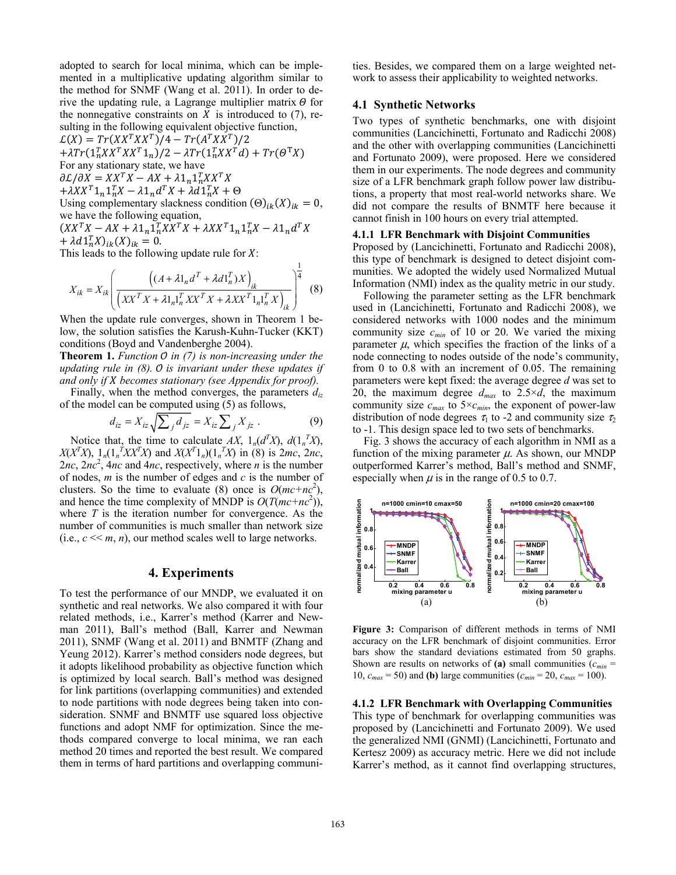adopted to search for local minima, which can be implemented in a multiplicative updating algorithm similar to the method for SNMF (Wang et al. 2011). In order to derive the updating rule, a Lagrange multiplier matrix  $\Theta$  for the nonnegative constraints on  $X$  is introduced to (7), resulting in the following equivalent objective function,

 $L(X) = Tr(XX^TXX^T)/4 - Tr(A^TXX^T)/2$  $+ \lambda Tr(\mathbf{1}_n^T X X^T X X^T \mathbf{1}_n)/2 - \lambda Tr(\mathbf{1}_n^T X X^T d) + Tr(\Theta^T X)$ For any stationary state, we have  $\partial \mathcal{L}/\partial X = XX^T X - AX + \lambda \mathbb{1}_n \mathbb{1}_n^T X X^T X$  $+ \lambda X X^T \mathbb{1}_n \mathbb{1}_n^T X - \lambda \mathbb{1}_n d^T X + \lambda d \mathbb{1}_n^T X + \Theta$ Using complementary slackness condition  $(\Theta)_{ik}(X)_{ik} = 0$ , we have the following equation,  $(XX^TX - AX + \lambda 1_n 1_n^T X X^T X + \lambda X X^T 1_n 1_n^T X - \lambda 1_n d^T X$ 

 $+\lambda d1_{n}^{T}X)_{ik}(X)_{ik} = 0.$ 

This leads to the following update rule for  $X$ :

$$
X_{ik} = X_{ik} \left( \frac{\left( (A + \lambda 1_n d^T + \lambda d 1_n^T) X \right)_{ik}}{\left( XX^T X + \lambda 1_n 1_n^T X X^T X + \lambda X X^T 1_n 1_n^T X \right)_{ik}} \right)^{\frac{1}{4}} \tag{8}
$$

When the update rule converges, shown in Theorem 1 below, the solution satisfies the Karush-Kuhn-Tucker (KKT) conditions (Boyd and Vandenberghe 2004).

**Theorem 1.** *Function 0 in (7) is non-increasing under the updating rule in (8).* O is invariant under these updates if *and only if* ܺ *becomes stationary (see Appendix for proof).* 

Finally, when the method converges, the parameters *diz* of the model can be computed using (5) as follows,

$$
d_{iz} = X_{iz} \sqrt{\sum_j d_{jz}} = X_{iz} \sum_j X_{jz} . \tag{9}
$$

Notice that, the time to calculate *AX*,  $1_n(d^T X)$ ,  $d(1_n^T X)$ , *X*(*X<sup>T</sup>X*),  $1_n(1_n^T X X^T X)$  and  $X(X^T 1_n)(1_n^T X)$  in (8) is 2*mc*, 2*nc*,  $2nc$ ,  $2nc^2$ ,  $4nc$  and  $4nc$ , respectively, where *n* is the number of nodes, *m* is the number of edges and *c* is the number of clusters. So the time to evaluate (8) once is  $O(mc+nc^2)$ , and hence the time complexity of MNDP is  $O(T(mc+nc^2))$ , where *T* is the iteration number for convergence. As the number of communities is much smaller than network size (i.e.,  $c \ll m$ , *n*), our method scales well to large networks.

# **4. Experiments**

To test the performance of our MNDP, we evaluated it on synthetic and real networks. We also compared it with four related methods, i.e., Karrer's method (Karrer and Newman 2011), Ball's method (Ball, Karrer and Newman 2011), SNMF (Wang et al. 2011) and BNMTF (Zhang and Yeung 2012). Karrer's method considers node degrees, but it adopts likelihood probability as objective function which is optimized by local search. Ball's method was designed for link partitions (overlapping communities) and extended to node partitions with node degrees being taken into consideration. SNMF and BNMTF use squared loss objective functions and adopt NMF for optimization. Since the methods compared converge to local minima, we ran each method 20 times and reported the best result. We compared them in terms of hard partitions and overlapping communities. Besides, we compared them on a large weighted network to assess their applicability to weighted networks.

#### **4.1 Synthetic Networks**

Two types of synthetic benchmarks, one with disjoint communities (Lancichinetti, Fortunato and Radicchi 2008) and the other with overlapping communities (Lancichinetti and Fortunato 2009), were proposed. Here we considered them in our experiments. The node degrees and community size of a LFR benchmark graph follow power law distributions, a property that most real-world networks share. We did not compare the results of BNMTF here because it cannot finish in 100 hours on every trial attempted.

#### **4.1.1 LFR Benchmark with Disjoint Communities**

Proposed by (Lancichinetti, Fortunato and Radicchi 2008), this type of benchmark is designed to detect disjoint communities. We adopted the widely used Normalized Mutual Information (NMI) index as the quality metric in our study.

Following the parameter setting as the LFR benchmark used in (Lancichinetti, Fortunato and Radicchi 2008), we considered networks with 1000 nodes and the minimum community size  $c_{min}$  of 10 or 20. We varied the mixing parameter  $\mu$ , which specifies the fraction of the links of a node connecting to nodes outside of the node's community, from 0 to 0.8 with an increment of 0.05. The remaining parameters were kept fixed: the average degree *d* was set to 20, the maximum degree  $d_{max}$  to 2.5× $d$ , the maximum community size  $c_{max}$  to  $5 \times c_{min}$ , the exponent of power-law distribution of node degrees  $\tau_1$  to -2 and community size  $\tau_2$ to -1. This design space led to two sets of benchmarks.

Fig. 3 shows the accuracy of each algorithm in NMI as a function of the mixing parameter  $\mu$ . As shown, our MNDP outperformed Karrer's method, Ball's method and SNMF, especially when  $\mu$  is in the range of 0.5 to 0.7.



**Figure 3:** Comparison of different methods in terms of NMI accuracy on the LFR benchmark of disjoint communities. Error bars show the standard deviations estimated from 50 graphs. Shown are results on networks of (a) small communities  $(c_{min} =$ 10,  $c_{max} = 50$ ) and **(b)** large communities  $(c_{min} = 20, c_{max} = 100)$ .

**4.1.2 LFR Benchmark with Overlapping Communities**  This type of benchmark for overlapping communities was proposed by (Lancichinetti and Fortunato 2009). We used the generalized NMI (GNMI) (Lancichinetti, Fortunato and Kertesz 2009) as accuracy metric. Here we did not include Karrer's method, as it cannot find overlapping structures,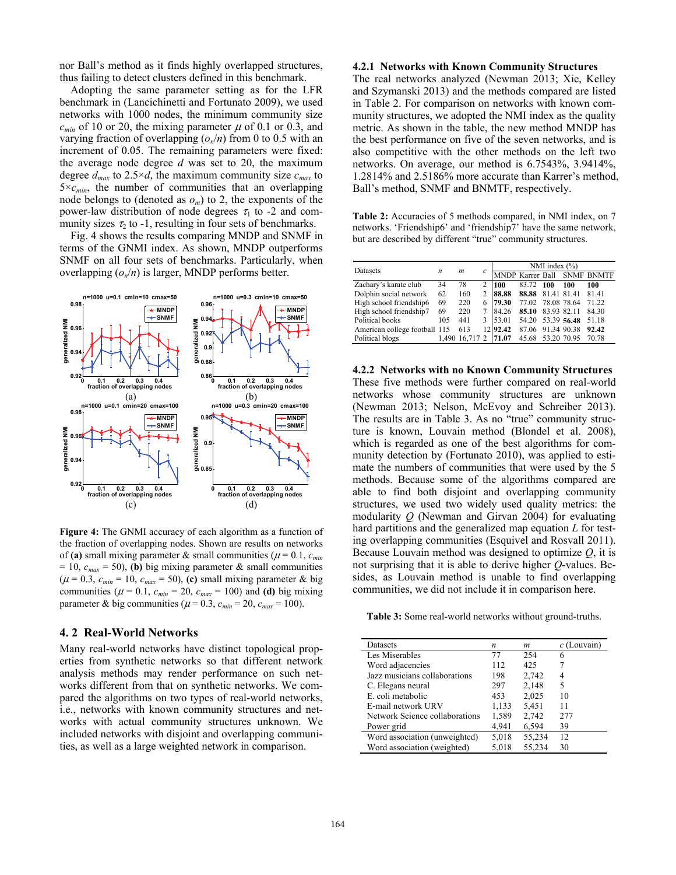nor Ball's method as it finds highly overlapped structures, thus failing to detect clusters defined in this benchmark.

Adopting the same parameter setting as for the LFR benchmark in (Lancichinetti and Fortunato 2009), we used networks with 1000 nodes, the minimum community size  $c_{min}$  of 10 or 20, the mixing parameter  $\mu$  of 0.1 or 0.3, and varying fraction of overlapping  $(o_n/n)$  from 0 to 0.5 with an increment of 0.05. The remaining parameters were fixed: the average node degree *d* was set to 20, the maximum degree  $d_{max}$  to 2.5×*d*, the maximum community size  $c_{max}$  to  $5 \times c_{min}$ , the number of communities that an overlapping node belongs to (denoted as  $o_m$ ) to 2, the exponents of the power-law distribution of node degrees  $\tau_1$  to -2 and community sizes  $\tau_2$  to -1, resulting in four sets of benchmarks.

Fig. 4 shows the results comparing MNDP and SNMF in terms of the GNMI index. As shown, MNDP outperforms SNMF on all four sets of benchmarks. Particularly, when overlapping  $(o_n/n)$  is larger, MNDP performs better.



**Figure 4:** The GNMI accuracy of each algorithm as a function of the fraction of overlapping nodes. Shown are results on networks of (a) small mixing parameter & small communities ( $\mu$  = 0.1,  $c_{min}$ )  $= 10$ ,  $c_{max} = 50$ ), **(b)** big mixing parameter & small communities  $(\mu = 0.3, c_{min} = 10, c_{max} = 50)$ , (c) small mixing parameter & big communities ( $\mu$  = 0.1,  $c_{min}$  = 20,  $c_{max}$  = 100) and (d) big mixing parameter & big communities ( $\mu$  = 0.3,  $c_{min}$  = 20,  $c_{max}$  = 100).

# **4. 2 Real-World Networks**

Many real-world networks have distinct topological properties from synthetic networks so that different network analysis methods may render performance on such networks different from that on synthetic networks. We compared the algorithms on two types of real-world networks, i.e., networks with known community structures and networks with actual community structures unknown. We included networks with disjoint and overlapping communities, as well as a large weighted network in comparison.

#### **4.2.1 Networks with Known Community Structures**

The real networks analyzed (Newman 2013; Xie, Kelley and Szymanski 2013) and the methods compared are listed in Table 2. For comparison on networks with known community structures, we adopted the NMI index as the quality metric. As shown in the table, the new method MNDP has the best performance on five of the seven networks, and is also competitive with the other methods on the left two networks. On average, our method is 6.7543%, 3.9414%, 1.2814% and 2.5186% more accurate than Karrer's method, Ball's method, SNMF and BNMTF, respectively.

**Table 2:** Accuracies of 5 methods compared, in NMI index, on 7 networks. 'Friendship6' and 'friendship7' have the same network, but are described by different "true" community structures.

| Datasets                      |       |        |                |          |       | NMI index $(\% )$ |             |                             |  |
|-------------------------------|-------|--------|----------------|----------|-------|-------------------|-------------|-----------------------------|--|
|                               | n     | m      | c              |          |       |                   |             | MNDP Karrer Ball SNMF BNMTF |  |
| Zachary's karate club         | 34    | 78     | $\overline{c}$ | 100      | 83.72 | 100               | 100         | 100                         |  |
| Dolphin social network        | 62    | 160    | $\overline{c}$ | 88.88    | 88.88 | 81.41 81.41       |             | 81.41                       |  |
| High school friendship6       | 69    | 220    | 6              | 79.30    | 77.02 |                   | 78.08 78.64 | 71.22                       |  |
| High school friendship7       | 69    | 220    |                | 84.26    | 85.10 | 83.93 82.11       |             | 84.30                       |  |
| Political books               | 105   | 441    | 3              | 53.01    | 54.20 |                   | 53.39 56.48 | 51.18                       |  |
| American college football 115 |       | 613    |                | 12 92.42 | 87.06 |                   | 91.34 90.38 | 92.42                       |  |
| Political blogs               | 1.490 | 16.717 |                | 71.07    | 45.68 |                   | 53.20 70.95 | 70.78                       |  |

**4.2.2 Networks with no Known Community Structures**  These five methods were further compared on real-world networks whose community structures are unknown (Newman 2013; Nelson, McEvoy and Schreiber 2013). The results are in Table 3. As no "true" community structure is known, Louvain method (Blondel et al. 2008), which is regarded as one of the best algorithms for community detection by (Fortunato 2010), was applied to estimate the numbers of communities that were used by the 5 methods. Because some of the algorithms compared are able to find both disjoint and overlapping community structures, we used two widely used quality metrics: the modularity *Q* (Newman and Girvan 2004) for evaluating hard partitions and the generalized map equation *L* for testing overlapping communities (Esquivel and Rosvall 2011). Because Louvain method was designed to optimize *Q*, it is not surprising that it is able to derive higher *Q*-values. Besides, as Louvain method is unable to find overlapping communities, we did not include it in comparison here.

**Table 3:** Some real-world networks without ground-truths.

| Datasets                       | n     | m      | $c$ (Louvain) |
|--------------------------------|-------|--------|---------------|
| Les Miserables                 | 77    | 254    | 6             |
| Word adjacencies               | 112   | 425    |               |
| Jazz musicians collaborations  | 198   | 2,742  | 4             |
| C. Elegans neural              | 297   | 2,148  | 5             |
| E. coli metabolic              | 453   | 2,025  | 10            |
| E-mail network URV             | 1,133 | 5,451  | 11            |
| Network Science collaborations | 1,589 | 2,742  | 277           |
| Power grid                     | 4,941 | 6,594  | 39            |
| Word association (unweighted)  | 5,018 | 55,234 | 12            |
| Word association (weighted)    | 5,018 | 55,234 | 30            |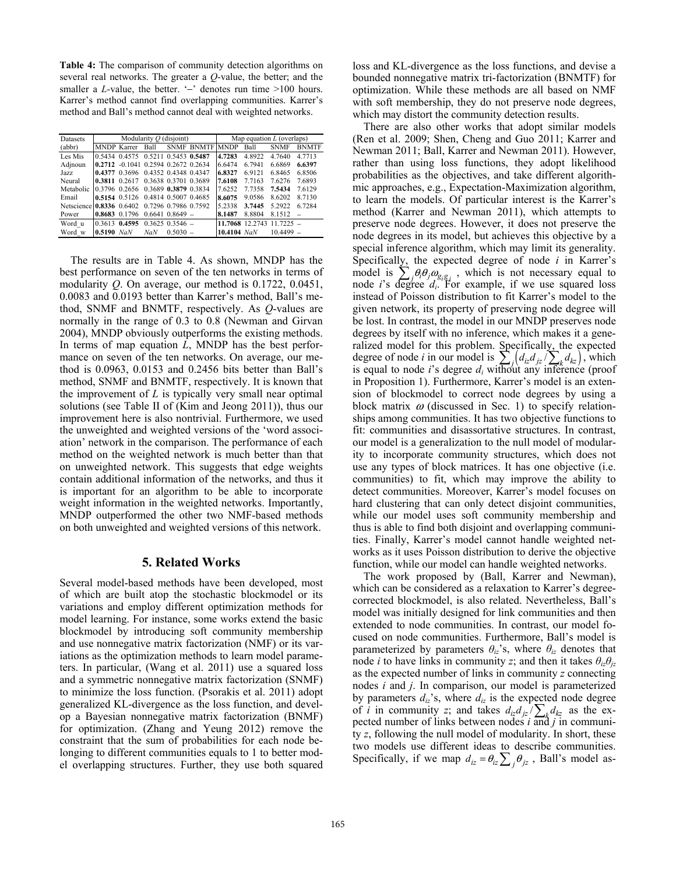**Table 4:** The comparison of community detection algorithms on several real networks. The greater a *Q*-value, the better; and the smaller a *L*-value, the better. '−' denotes run time >100 hours. Karrer's method cannot find overlapping communities. Karrer's method and Ball's method cannot deal with weighted networks.

| <b>Datasets</b>          | Modularity $O$ (disjoint) |                                     |      |                      |                   | Map equation $L$ (overlaps) |                 |             |              |
|--------------------------|---------------------------|-------------------------------------|------|----------------------|-------------------|-----------------------------|-----------------|-------------|--------------|
| (abbr)                   | MNDP Karrer               |                                     | Ball |                      | <b>SNMF BNMTF</b> | <b>MNDP</b>                 | Ball            | <b>SNMF</b> | <b>BNMTF</b> |
| Les Mis                  |                           | 0.5434 0.4575                       |      | 0.5211 0.5453 0.5487 |                   | 4.7283                      | 4.8922          | 4.7640      | 4 7 7 1 3    |
| Adjnoun                  |                           | 0.2712 -0.1041 0.2594 0.2672 0.2634 |      |                      |                   | 6 6 4 7 4                   | 6 7941          | 6.6869      | 6.6397       |
| Jazz.                    | 0.4377 0.3696             |                                     |      | 0.4352 0.4348 0.4347 |                   | 6.8327                      | 69121           | 68465       | 68506        |
| Neural                   | 0.3811 0.2617             |                                     |      | 0.3638 0.3701 0.3689 |                   | 7.6108                      | 7.7163          | 76276       | 76893        |
| Metabolic                | 0.3796 0.2656             |                                     |      | 0 3689 0.3879 0 3834 |                   | 76252                       | 7.7358          | 7.5434      | 76129        |
| Email                    |                           | 0.5154 0.5126                       |      | 0.4814 0.5007 0.4685 |                   | 8.6075                      | 90586           | 86202       | 8 7 1 3 0    |
| Netscience 0.8336 0.6402 |                           |                                     |      | 0 7296 0 7986 0 7592 |                   | 5 2 3 3 8                   | 3.7445          | 5 29 22     | 6 7284       |
| Power                    |                           | 0.8683 0.1796                       |      | $0.6641$ $0.8649$ –  |                   | 8.1487                      | 8.8804          | 8.1512      | $\equiv$     |
| Word u                   | 0.3613                    | 0.4595                              |      | $0.3625$ $0.3546$ -  |                   |                             | 11.7068 12.2743 | $11.7225 =$ |              |
| Word w                   | $0.5190$ NaN              |                                     | NaN  | $0.5030 =$           |                   | 10.4104 $NaN$               |                 | $10,4499$ – |              |

The results are in Table 4. As shown, MNDP has the best performance on seven of the ten networks in terms of modularity *Q*. On average, our method is 0.1722, 0.0451, 0.0083 and 0.0193 better than Karrer's method, Ball's method, SNMF and BNMTF, respectively. As *Q*-values are normally in the range of 0.3 to 0.8 (Newman and Girvan 2004), MNDP obviously outperforms the existing methods. In terms of map equation *L*, MNDP has the best performance on seven of the ten networks. On average, our method is 0.0963, 0.0153 and 0.2456 bits better than Ball's method, SNMF and BNMTF, respectively. It is known that the improvement of *L* is typically very small near optimal solutions (see Table II of (Kim and Jeong 2011)), thus our improvement here is also nontrivial. Furthermore, we used the unweighted and weighted versions of the 'word association' network in the comparison. The performance of each method on the weighted network is much better than that on unweighted network. This suggests that edge weights contain additional information of the networks, and thus it is important for an algorithm to be able to incorporate weight information in the weighted networks. Importantly, MNDP outperformed the other two NMF-based methods on both unweighted and weighted versions of this network.

# **5. Related Works**

Several model-based methods have been developed, most of which are built atop the stochastic blockmodel or its variations and employ different optimization methods for model learning. For instance, some works extend the basic blockmodel by introducing soft community membership and use nonnegative matrix factorization (NMF) or its variations as the optimization methods to learn model parameters. In particular, (Wang et al. 2011) use a squared loss and a symmetric nonnegative matrix factorization (SNMF) to minimize the loss function. (Psorakis et al. 2011) adopt generalized KL-divergence as the loss function, and develop a Bayesian nonnegative matrix factorization (BNMF) for optimization. (Zhang and Yeung 2012) remove the constraint that the sum of probabilities for each node belonging to different communities equals to 1 to better model overlapping structures. Further, they use both squared

loss and KL-divergence as the loss functions, and devise a bounded nonnegative matrix tri-factorization (BNMTF) for optimization. While these methods are all based on NMF with soft membership, they do not preserve node degrees, which may distort the community detection results.

There are also other works that adopt similar models (Ren et al. 2009; Shen, Cheng and Guo 2011; Karrer and Newman 2011; Ball, Karrer and Newman 2011). However, rather than using loss functions, they adopt likelihood probabilities as the objectives, and take different algorithmic approaches, e.g., Expectation-Maximization algorithm, to learn the models. Of particular interest is the Karrer's method (Karrer and Newman 2011), which attempts to preserve node degrees. However, it does not preserve the node degrees in its model, but achieves this objective by a special inference algorithm, which may limit its generality. Specifically, the expected degree of node *i* in Karrer's model is  $\sum_j \theta_i \theta_j \omega_{s_i g_j}$ , which is not necessary equal to node *i*'s degree *di*. For example, if we use squared loss instead of Poisson distribution to fit Karrer's model to the given network, its property of preserving node degree will be lost. In contrast, the model in our MNDP preserves node degrees by itself with no inference, which makes it a generalized model for this problem. Specifically, the expected degree of node *i* in our model is  $\sum_{j} ( d_{iz} d_{jz} / \sum_{k} d_{kz} )$ , which is equal to node *i*'s degree  $d_i$  without any inference (proof in Proposition 1). Furthermore, Karrer's model is an extension of blockmodel to correct node degrees by using a block matrix  $\omega$  (discussed in Sec. 1) to specify relationships among communities. It has two objective functions to fit: communities and disassortative structures. In contrast, our model is a generalization to the null model of modularity to incorporate community structures, which does not use any types of block matrices. It has one objective (i.e. communities) to fit, which may improve the ability to detect communities. Moreover, Karrer's model focuses on hard clustering that can only detect disjoint communities, while our model uses soft community membership and thus is able to find both disjoint and overlapping communities. Finally, Karrer's model cannot handle weighted networks as it uses Poisson distribution to derive the objective function, while our model can handle weighted networks.

The work proposed by (Ball, Karrer and Newman), which can be considered as a relaxation to Karrer's degreecorrected blockmodel, is also related. Nevertheless, Ball's model was initially designed for link communities and then extended to node communities. In contrast, our model focused on node communities. Furthermore, Ball's model is parameterized by parameters  $\theta_i$ <sup>2</sup>'s, where  $\theta_i$ <sup>2</sup> denotes that node *i* to have links in community *z*; and then it takes  $\theta_{iz}\theta_{iz}$ as the expected number of links in community *z* connecting nodes *i* and *j*. In comparison, our model is parameterized by parameters  $d_{iz}$ 's, where  $d_{iz}$  is the expected node degree of *i* in community *z*; and takes  $d_{iz}d_{jz}/\sum_{k} d_{kz}$  as the expected number of links between nodes *i* and *j* in community *z*, following the null model of modularity. In short, these two models use different ideas to describe communities. Specifically, if we map  $d_{iz} = \theta_{iz} \sum_j \theta_{jz}$ , Ball's model as-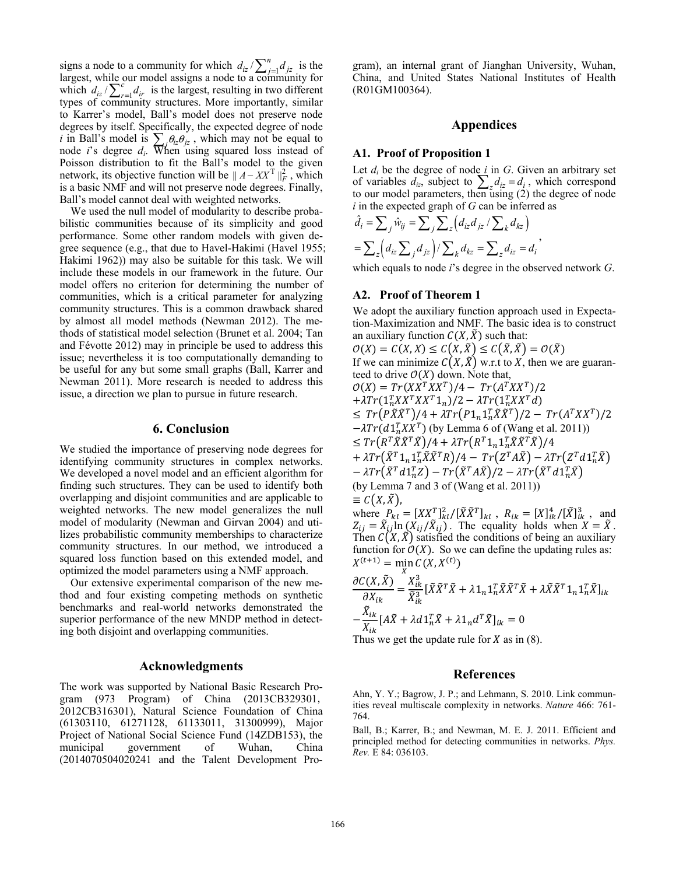signs a node to a community for which  $d_{iz}/\sum_{j=1}^{n} d_{jz}$  is the largest, while our model assigns a node to a community for which  $d_{iz}/\sum_{r=1}^{c} d_{ir}$  is the largest, resulting in two different types of community structures. More importantly, similar to Karrer's model, Ball's model does not preserve node degrees by itself. Specifically, the expected degree of node *i* in Ball's model is  $\sum_j \theta_{iz} \theta_{jz}$ , which may not be equal to node *i*'s degree  $d_i$ . When using squared loss instead of Poisson distribution to fit the Ball's model to the given network, its objective function will be  $|| A - XX^T ||_F^2$ , which is a basic NMF and will not preserve node degrees. Finally, Ball's model cannot deal with weighted networks.

We used the null model of modularity to describe probabilistic communities because of its simplicity and good performance. Some other random models with given degree sequence (e.g., that due to Havel-Hakimi (Havel 1955; Hakimi 1962)) may also be suitable for this task. We will include these models in our framework in the future. Our model offers no criterion for determining the number of communities, which is a critical parameter for analyzing community structures. This is a common drawback shared by almost all model methods (Newman 2012). The methods of statistical model selection (Brunet et al. 2004; Tan and Févotte 2012) may in principle be used to address this issue; nevertheless it is too computationally demanding to be useful for any but some small graphs (Ball, Karrer and Newman 2011). More research is needed to address this issue, a direction we plan to pursue in future research.

### **6. Conclusion**

We studied the importance of preserving node degrees for identifying community structures in complex networks. We developed a novel model and an efficient algorithm for finding such structures. They can be used to identify both overlapping and disjoint communities and are applicable to weighted networks. The new model generalizes the null model of modularity (Newman and Girvan 2004) and utilizes probabilistic community memberships to characterize community structures. In our method, we introduced a squared loss function based on this extended model, and optimized the model parameters using a NMF approach.

Our extensive experimental comparison of the new method and four existing competing methods on synthetic benchmarks and real-world networks demonstrated the superior performance of the new MNDP method in detecting both disjoint and overlapping communities.

## **Acknowledgments**

The work was supported by National Basic Research Program (973 Program) of China (2013CB329301, 2012CB316301), Natural Science Foundation of China (61303110, 61271128, 61133011, 31300999), Major Project of National Social Science Fund (14ZDB153), the municipal government of Wuhan, China (2014070504020241 and the Talent Development Program), an internal grant of Jianghan University, Wuhan, China, and United States National Institutes of Health (R01GM100364).

# **Appendices**

### **A1. Proof of Proposition 1**

Let  $d_i$  be the degree of node  $i$  in  $G$ . Given an arbitrary set of variables  $d_{iz}$ , subject to  $\sum_z d_{iz} = d_i$ , which correspond to our model parameters, then using (2) the degree of node *i* in the expected graph of *G* can be inferred as

$$
\hat{d}_i = \sum_j \hat{w}_{ij} = \sum_j \sum_z \left(d_{iz} d_{jz} / \sum_k d_{kz}\right)
$$

$$
= \sum_z \left(d_{iz} \sum_j d_{jz}\right) / \sum_k d_{kz} = \sum_z d_{iz} = d_i,
$$

which equals to node *i*'s degree in the observed network *G*.

### **A2. Proof of Theorem 1**

We adopt the auxiliary function approach used in Expectation-Maximization and NMF. The basic idea is to construct an auxiliary function  $C(X, \tilde{X})$  such that:

 $O(X) = C(X,X) \leq C(X,\tilde{X}) \leq C(\tilde{X},\tilde{X}) = O(\tilde{X})$ If we can minimize  $C(X, \tilde{X})$  w.r.t to X, then we are guaranteed to drive  $O(X)$  down. Note that,  $O(X) = Tr(XX^TXX^T)/4 - Tr(A^TXX^T)/2$  $+ \lambda Tr(\mathbf{1}_n^T X X^T X X^T \mathbf{1}_n)/2 - \lambda Tr(\mathbf{1}_n^T X X^T d)$  $\leq Tr(P\tilde{X}\tilde{X}^T)/4 + \lambda Tr(P1_n1_n^T\tilde{X}\tilde{X}^T)/2 - Tr(A^TXX^T)/2$  $-\lambda Tr(d1_n^T X X^T)$  (by Lemma 6 of (Wang et al. 2011))  $\leq Tr (R^T \tilde{X} \tilde{X}^T \tilde{X})/4 + \lambda Tr (R^T 1_n 1_n^T \tilde{X} \tilde{X}^T \tilde{X})/4$  $+ \lambda Tr(\tilde{X}^T 1_n 1_n^T \tilde{X} \tilde{X}^T R) / 4 - Tr(Z^T A \tilde{X}) - \lambda Tr(Z^T A 1_n^T \tilde{X})$  $- \lambda Tr \bigl( \tilde{X}^T d 1_n^T Z \bigr) - Tr \bigl( \tilde{X}^T A \tilde{X} \bigr) /2 - \lambda Tr \bigl( \tilde{X}^T d 1_n^T \tilde{X} \bigr)$ (by Lemma 7 and 3 of (Wang et al. 2011))  $\equiv C(X,\tilde{X})$ , where  $P_{kl} = [XX_{\sim}^T]_{kl}^2 / [\tilde{X}\tilde{X}^T]_{kl}$ ,  $R_{ik} = [X]_{ik}^4 / [\tilde{X}]_{ik}^3$ , and  $Z_{ij} = \tilde{X}_{ij} \ln \left( \tilde{X}_{ij} / \tilde{X}_{ij} \right)$ . The equality holds when  $X = \tilde{X}$ . Then  $C(X, \tilde{X})$  satisfied the conditions of being an auxiliary function for  $O(X)$ . So we can define the updating rules as:  $X^{(t+1)} = \min_{X} C(X, X^{(t)})$ <br>  $\frac{\partial C(X, \tilde{Y})}{\partial X} X^3$ 

$$
\frac{\partial C(X, \tilde{X})}{\partial X_{ik}} = \frac{X_{ik}^3}{\tilde{X}_{ik}^3} \left[ \tilde{X} \tilde{X}^T \tilde{X} + \lambda \mathbf{1}_n \mathbf{1}_n^T \tilde{X} \tilde{X}^T \tilde{X} + \lambda \tilde{X} \tilde{X}^T \mathbf{1}_n \mathbf{1}_n^T \tilde{X} \right]_{ik}
$$

$$
- \frac{\tilde{X}_{ik}}{X_{ik}} \left[ A \tilde{X} + \lambda d \mathbf{1}_n^T \tilde{X} + \lambda \mathbf{1}_n d^T \tilde{X} \right]_{ik} = 0
$$

Thus we get the update rule for X as in  $(8)$ .

# **References**

Ahn, Y. Y.; Bagrow, J. P.; and Lehmann, S. 2010. Link communities reveal multiscale complexity in networks. *Nature* 466: 761- 764.

Ball, B.; Karrer, B.; and Newman, M. E. J. 2011. Efficient and principled method for detecting communities in networks. *Phys. Rev.* E 84: 036103.